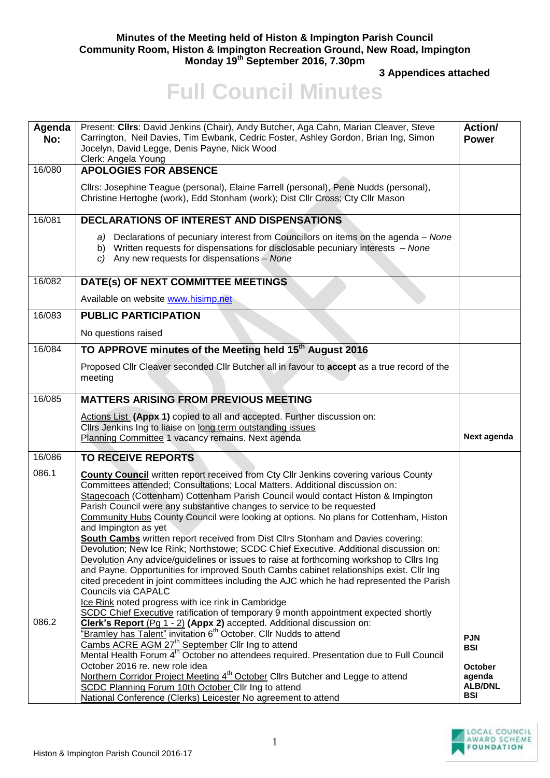## **Minutes of the Meeting held of Histon & Impington Parish Council Community Room, Histon & Impington Recreation Ground, New Road, Impington Monday 19th September 2016, 7.30pm**

**3 Appendices attached** 

## **Full Council Minutes**

| Agenda<br>No: | Present: Clirs: David Jenkins (Chair), Andy Butcher, Aga Cahn, Marian Cleaver, Steve<br>Carrington, Neil Davies, Tim Ewbank, Cedric Foster, Ashley Gordon, Brian Ing, Simon<br>Jocelyn, David Legge, Denis Payne, Nick Wood<br>Clerk: Angela Young                                                                                                                                                                                                                                                                                                                                                                                                                                                                                                                                                                                                                                                                                                 | Action/<br><b>Power</b>                                  |
|---------------|----------------------------------------------------------------------------------------------------------------------------------------------------------------------------------------------------------------------------------------------------------------------------------------------------------------------------------------------------------------------------------------------------------------------------------------------------------------------------------------------------------------------------------------------------------------------------------------------------------------------------------------------------------------------------------------------------------------------------------------------------------------------------------------------------------------------------------------------------------------------------------------------------------------------------------------------------|----------------------------------------------------------|
| 16/080        | <b>APOLOGIES FOR ABSENCE</b>                                                                                                                                                                                                                                                                                                                                                                                                                                                                                                                                                                                                                                                                                                                                                                                                                                                                                                                       |                                                          |
|               | Cllrs: Josephine Teague (personal), Elaine Farrell (personal), Pene Nudds (personal),<br>Christine Hertoghe (work), Edd Stonham (work); Dist Cllr Cross; Cty Cllr Mason                                                                                                                                                                                                                                                                                                                                                                                                                                                                                                                                                                                                                                                                                                                                                                            |                                                          |
| 16/081        | <b>DECLARATIONS OF INTEREST AND DISPENSATIONS</b>                                                                                                                                                                                                                                                                                                                                                                                                                                                                                                                                                                                                                                                                                                                                                                                                                                                                                                  |                                                          |
|               | a) Declarations of pecuniary interest from Councillors on items on the agenda – None<br>b) Written requests for dispensations for disclosable pecuniary interests - None<br>c) Any new requests for dispensations - None                                                                                                                                                                                                                                                                                                                                                                                                                                                                                                                                                                                                                                                                                                                           |                                                          |
| 16/082        | DATE(s) OF NEXT COMMITTEE MEETINGS                                                                                                                                                                                                                                                                                                                                                                                                                                                                                                                                                                                                                                                                                                                                                                                                                                                                                                                 |                                                          |
|               | Available on website www.hisimp.net                                                                                                                                                                                                                                                                                                                                                                                                                                                                                                                                                                                                                                                                                                                                                                                                                                                                                                                |                                                          |
| 16/083        | <b>PUBLIC PARTICIPATION</b>                                                                                                                                                                                                                                                                                                                                                                                                                                                                                                                                                                                                                                                                                                                                                                                                                                                                                                                        |                                                          |
|               | No questions raised                                                                                                                                                                                                                                                                                                                                                                                                                                                                                                                                                                                                                                                                                                                                                                                                                                                                                                                                |                                                          |
| 16/084        | TO APPROVE minutes of the Meeting held 15 <sup>th</sup> August 2016                                                                                                                                                                                                                                                                                                                                                                                                                                                                                                                                                                                                                                                                                                                                                                                                                                                                                |                                                          |
|               | Proposed Cllr Cleaver seconded Cllr Butcher all in favour to accept as a true record of the<br>meeting                                                                                                                                                                                                                                                                                                                                                                                                                                                                                                                                                                                                                                                                                                                                                                                                                                             |                                                          |
| 16/085        | <b>MATTERS ARISING FROM PREVIOUS MEETING</b>                                                                                                                                                                                                                                                                                                                                                                                                                                                                                                                                                                                                                                                                                                                                                                                                                                                                                                       |                                                          |
|               | Actions List (Appx 1) copied to all and accepted. Further discussion on:<br>Clirs Jenkins Ing to liaise on long term outstanding issues<br>Planning Committee 1 vacancy remains. Next agenda                                                                                                                                                                                                                                                                                                                                                                                                                                                                                                                                                                                                                                                                                                                                                       | Next agenda                                              |
| 16/086        | <b>TO RECEIVE REPORTS</b>                                                                                                                                                                                                                                                                                                                                                                                                                                                                                                                                                                                                                                                                                                                                                                                                                                                                                                                          |                                                          |
| 086.1         | <b>County Council</b> written report received from Cty Cllr Jenkins covering various County<br>Committees attended; Consultations; Local Matters. Additional discussion on:<br>Stagecoach (Cottenham) Cottenham Parish Council would contact Histon & Impington<br>Parish Council were any substantive changes to service to be requested<br>Community Hubs County Council were looking at options. No plans for Cottenham, Histon<br>and Impington as yet<br>South Cambs written report received from Dist Cllrs Stonham and Davies covering:<br>Devolution; New Ice Rink; Northstowe; SCDC Chief Executive. Additional discussion on:<br>Devolution Any advice/guidelines or issues to raise at forthcoming workshop to Cllrs Ing<br>and Payne. Opportunities for improved South Cambs cabinet relationships exist. Cllr Ing<br>cited precedent in joint committees including the AJC which he had represented the Parish<br>Councils via CAPALC |                                                          |
| 086.2         | Ice Rink noted progress with ice rink in Cambridge<br>SCDC Chief Executive ratification of temporary 9 month appointment expected shortly<br>Clerk's Report (Pg 1 - 2) (Appx 2) accepted. Additional discussion on:<br>"Bramley has Talent" invitation 6 <sup>th</sup> October. Cllr Nudds to attend                                                                                                                                                                                                                                                                                                                                                                                                                                                                                                                                                                                                                                               |                                                          |
|               | Cambs ACRE AGM 27 <sup>th</sup> September Cllr Ing to attend<br>Mental Health Forum 4 <sup>th</sup> October no attendees required. Presentation due to Full Council                                                                                                                                                                                                                                                                                                                                                                                                                                                                                                                                                                                                                                                                                                                                                                                | <b>PJN</b><br><b>BSI</b>                                 |
|               | October 2016 re. new role idea<br>Northern Corridor Project Meeting 4 <sup>th</sup> October Clirs Butcher and Legge to attend<br>SCDC Planning Forum 10th October Cllr Ing to attend<br>National Conference (Clerks) Leicester No agreement to attend                                                                                                                                                                                                                                                                                                                                                                                                                                                                                                                                                                                                                                                                                              | <b>October</b><br>agenda<br><b>ALB/DNL</b><br><b>BSI</b> |

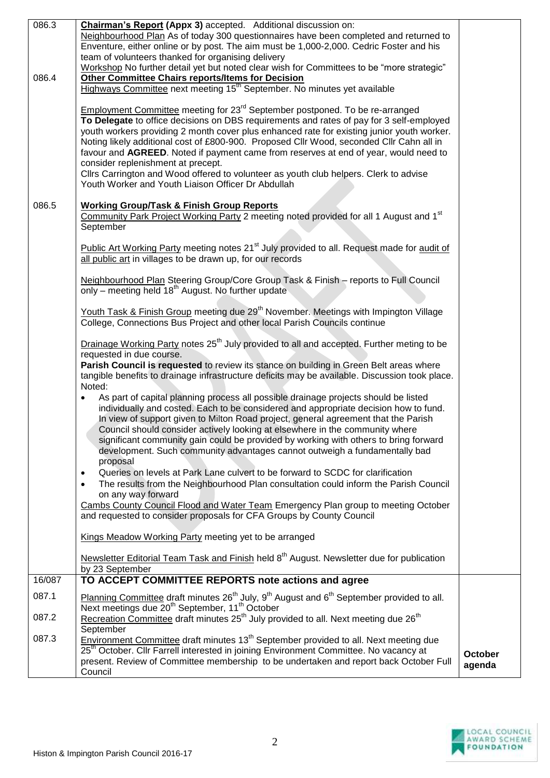| 086.3  | Chairman's Report (Appx 3) accepted. Additional discussion on:<br>Neighbourhood Plan As of today 300 questionnaires have been completed and returned to<br>Enventure, either online or by post. The aim must be 1,000-2,000. Cedric Foster and his<br>team of volunteers thanked for organising delivery                                                                                                                                                                                                                                                                                                                                                          |                   |
|--------|-------------------------------------------------------------------------------------------------------------------------------------------------------------------------------------------------------------------------------------------------------------------------------------------------------------------------------------------------------------------------------------------------------------------------------------------------------------------------------------------------------------------------------------------------------------------------------------------------------------------------------------------------------------------|-------------------|
| 086.4  | Workshop No further detail yet but noted clear wish for Committees to be "more strategic"<br><b>Other Committee Chairs reports/Items for Decision</b><br>Highways Committee next meeting 15 <sup>th</sup> September. No minutes yet available                                                                                                                                                                                                                                                                                                                                                                                                                     |                   |
|        | <b>Employment Committee meeting for 23<sup>rd</sup> September postponed. To be re-arranged</b><br>To Delegate to office decisions on DBS requirements and rates of pay for 3 self-employed<br>youth workers providing 2 month cover plus enhanced rate for existing junior youth worker.<br>Noting likely additional cost of £800-900. Proposed Cllr Wood, seconded Cllr Cahn all in<br>favour and AGREED. Noted if payment came from reserves at end of year, would need to<br>consider replenishment at precept.<br>Cllrs Carrington and Wood offered to volunteer as youth club helpers. Clerk to advise<br>Youth Worker and Youth Liaison Officer Dr Abdullah |                   |
| 086.5  | <b>Working Group/Task &amp; Finish Group Reports</b><br>Community Park Project Working Party 2 meeting noted provided for all 1 August and 1 <sup>st</sup><br>September                                                                                                                                                                                                                                                                                                                                                                                                                                                                                           |                   |
|        | Public Art Working Party meeting notes 21 <sup>st</sup> July provided to all. Request made for audit of<br>all public art in villages to be drawn up, for our records                                                                                                                                                                                                                                                                                                                                                                                                                                                                                             |                   |
|        | Neighbourhood Plan Steering Group/Core Group Task & Finish - reports to Full Council<br>only – meeting held 18 <sup>th</sup> August. No further update                                                                                                                                                                                                                                                                                                                                                                                                                                                                                                            |                   |
|        | Youth Task & Finish Group meeting due 29 <sup>th</sup> November. Meetings with Impington Village<br>College, Connections Bus Project and other local Parish Councils continue                                                                                                                                                                                                                                                                                                                                                                                                                                                                                     |                   |
|        | Drainage Working Party notes 25 <sup>th</sup> July provided to all and accepted. Further meting to be<br>requested in due course.<br>Parish Council is requested to review its stance on building in Green Belt areas where<br>tangible benefits to drainage infrastructure deficits may be available. Discussion took place.<br>Noted:                                                                                                                                                                                                                                                                                                                           |                   |
|        | As part of capital planning process all possible drainage projects should be listed<br>$\bullet$<br>individually and costed. Each to be considered and appropriate decision how to fund.<br>In view of support given to Milton Road project, general agreement that the Parish<br>Council should consider actively looking at elsewhere in the community where<br>significant community gain could be provided by working with others to bring forward<br>development. Such community advantages cannot outweigh a fundamentally bad<br>proposal                                                                                                                  |                   |
|        | Queries on levels at Park Lane culvert to be forward to SCDC for clarification<br>$\bullet$<br>The results from the Neighbourhood Plan consultation could inform the Parish Council<br>$\bullet$<br>on any way forward                                                                                                                                                                                                                                                                                                                                                                                                                                            |                   |
|        | Cambs County Council Flood and Water Team Emergency Plan group to meeting October<br>and requested to consider proposals for CFA Groups by County Council                                                                                                                                                                                                                                                                                                                                                                                                                                                                                                         |                   |
|        | Kings Meadow Working Party meeting yet to be arranged                                                                                                                                                                                                                                                                                                                                                                                                                                                                                                                                                                                                             |                   |
|        | Newsletter Editorial Team Task and Finish held 8 <sup>th</sup> August. Newsletter due for publication<br>by 23 September                                                                                                                                                                                                                                                                                                                                                                                                                                                                                                                                          |                   |
| 16/087 | TO ACCEPT COMMITTEE REPORTS note actions and agree                                                                                                                                                                                                                                                                                                                                                                                                                                                                                                                                                                                                                |                   |
| 087.1  | Planning Committee draft minutes 26 <sup>th</sup> July, 9 <sup>th</sup> August and 6 <sup>th</sup> September provided to all.<br>Next meetings due 20 <sup>th</sup> September, 11 <sup>th</sup> October                                                                                                                                                                                                                                                                                                                                                                                                                                                           |                   |
| 087.2  | Recreation Committee draft minutes 25 <sup>th</sup> July provided to all. Next meeting due 26 <sup>th</sup><br>September                                                                                                                                                                                                                                                                                                                                                                                                                                                                                                                                          |                   |
| 087.3  | Environment Committee draft minutes 13 <sup>th</sup> September provided to all. Next meeting due<br>25 <sup>th</sup> October. Cllr Farrell interested in joining Environment Committee. No vacancy at<br>present. Review of Committee membership to be undertaken and report back October Full<br>Council                                                                                                                                                                                                                                                                                                                                                         | October<br>agenda |

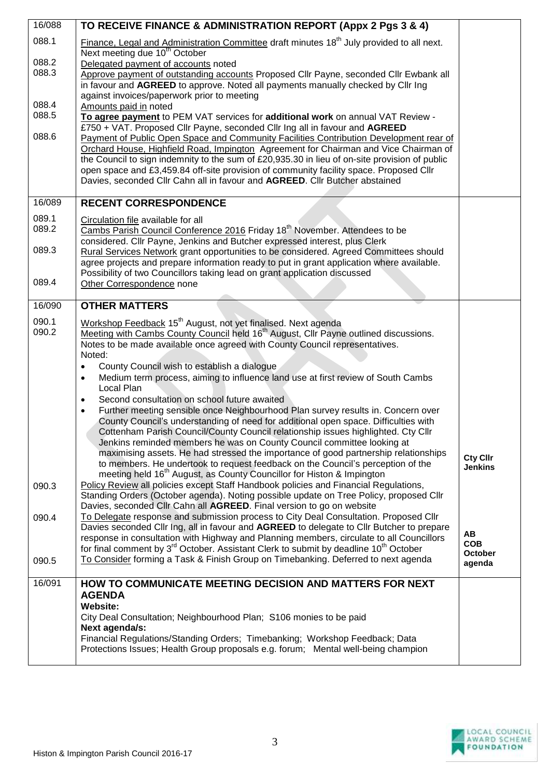| 16/088         | TO RECEIVE FINANCE & ADMINISTRATION REPORT (Appx 2 Pgs 3 & 4)                                                                                                    |                                   |
|----------------|------------------------------------------------------------------------------------------------------------------------------------------------------------------|-----------------------------------|
| 088.1          | Finance, Legal and Administration Committee draft minutes 18 <sup>th</sup> July provided to all next.<br>Next meeting due 10 <sup>th</sup> October               |                                   |
| 088.2          | Delegated payment of accounts noted                                                                                                                              |                                   |
| 088.3          | Approve payment of outstanding accounts Proposed Cllr Payne, seconded Cllr Ewbank all                                                                            |                                   |
|                | in favour and AGREED to approve. Noted all payments manually checked by Cllr Ing                                                                                 |                                   |
|                | against invoices/paperwork prior to meeting                                                                                                                      |                                   |
| 088.4<br>088.5 | Amounts paid in noted                                                                                                                                            |                                   |
|                | To agree payment to PEM VAT services for additional work on annual VAT Review -<br>£750 + VAT. Proposed Cllr Payne, seconded Cllr Ing all in favour and AGREED   |                                   |
| 088.6          | Payment of Public Open Space and Community Facilities Contribution Development rear of                                                                           |                                   |
|                | Orchard House, Highfield Road, Impington Agreement for Chairman and Vice Chairman of                                                                             |                                   |
|                | the Council to sign indemnity to the sum of £20,935.30 in lieu of on-site provision of public                                                                    |                                   |
|                | open space and £3,459.84 off-site provision of community facility space. Proposed Cllr                                                                           |                                   |
|                | Davies, seconded Cllr Cahn all in favour and AGREED. Cllr Butcher abstained                                                                                      |                                   |
| 16/089         | <b>RECENT CORRESPONDENCE</b>                                                                                                                                     |                                   |
| 089.1          |                                                                                                                                                                  |                                   |
| 089.2          | Circulation file available for all<br>Cambs Parish Council Conference 2016 Friday 18 <sup>th</sup> November. Attendees to be                                     |                                   |
|                | considered. Cllr Payne, Jenkins and Butcher expressed interest, plus Clerk                                                                                       |                                   |
| 089.3          | Rural Services Network grant opportunities to be considered. Agreed Committees should                                                                            |                                   |
|                | agree projects and prepare information ready to put in grant application where available.                                                                        |                                   |
| 089.4          | Possibility of two Councillors taking lead on grant application discussed                                                                                        |                                   |
|                | Other Correspondence none                                                                                                                                        |                                   |
| 16/090         | <b>OTHER MATTERS</b>                                                                                                                                             |                                   |
| 090.1          | Workshop Feedback 15 <sup>th</sup> August, not yet finalised. Next agenda                                                                                        |                                   |
| 090.2          | Meeting with Cambs County Council held 16 <sup>th</sup> August, Cllr Payne outlined discussions.                                                                 |                                   |
|                | Notes to be made available once agreed with County Council representatives.                                                                                      |                                   |
|                | Noted:<br>County Council wish to establish a dialogue<br>$\bullet$                                                                                               |                                   |
|                | Medium term process, aiming to influence land use at first review of South Cambs<br>$\bullet$                                                                    |                                   |
|                | Local Plan                                                                                                                                                       |                                   |
|                | Second consultation on school future awaited<br>$\bullet$                                                                                                        |                                   |
|                | Further meeting sensible once Neighbourhood Plan survey results in. Concern over<br>$\bullet$                                                                    |                                   |
|                | County Council's understanding of need for additional open space. Difficulties with                                                                              |                                   |
|                | Cottenham Parish Council/County Council relationship issues highlighted. Cty Cllr<br>Jenkins reminded members he was on County Council committee looking at      |                                   |
|                | maximising assets. He had stressed the importance of good partnership relationships                                                                              |                                   |
|                | to members. He undertook to request feedback on the Council's perception of the                                                                                  | <b>Cty Cllr</b><br><b>Jenkins</b> |
|                | meeting held 16 <sup>th</sup> August, as County Councillor for Histon & Impington                                                                                |                                   |
| 090.3          | Policy Review all policies except Staff Handbook policies and Financial Regulations,                                                                             |                                   |
|                | Standing Orders (October agenda). Noting possible update on Tree Policy, proposed Cllr<br>Davies, seconded Cllr Cahn all AGREED. Final version to go on website  |                                   |
| 090.4          | To Delegate response and submission process to City Deal Consultation. Proposed Cllr                                                                             |                                   |
|                | Davies seconded Cllr Ing, all in favour and AGREED to delegate to Cllr Butcher to prepare                                                                        |                                   |
|                | response in consultation with Highway and Planning members, circulate to all Councillors                                                                         | AB<br><b>COB</b>                  |
|                | for final comment by 3 <sup>rd</sup> October. Assistant Clerk to submit by deadline 10 <sup>th</sup> October                                                     | October                           |
| 090.5          | To Consider forming a Task & Finish Group on Timebanking. Deferred to next agenda                                                                                | agenda                            |
| 16/091         | HOW TO COMMUNICATE MEETING DECISION AND MATTERS FOR NEXT                                                                                                         |                                   |
|                | <b>AGENDA</b>                                                                                                                                                    |                                   |
|                | <b>Website:</b>                                                                                                                                                  |                                   |
|                | City Deal Consultation; Neighbourhood Plan; S106 monies to be paid                                                                                               |                                   |
|                | Next agenda/s:                                                                                                                                                   |                                   |
|                | Financial Regulations/Standing Orders; Timebanking; Workshop Feedback; Data<br>Protections Issues; Health Group proposals e.g. forum; Mental well-being champion |                                   |
|                |                                                                                                                                                                  |                                   |